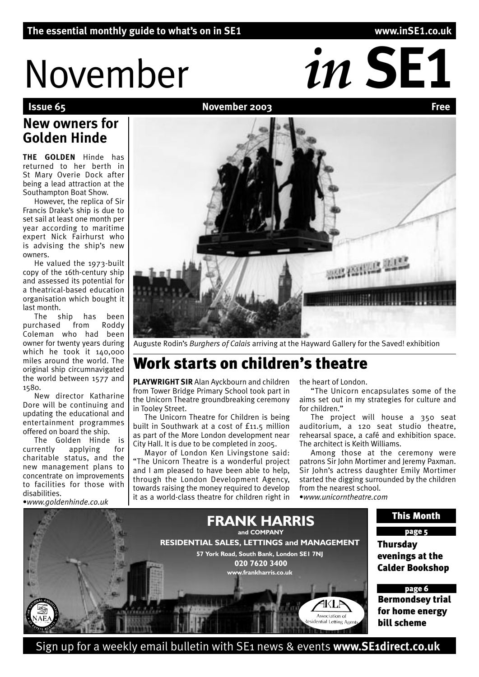# November *in SE1*

### **November 2003**

# **New owners for Golden Hinde**

**THE GOLDEN** Hinde has returned to her berth in St Mary Overie Dock after being a lead attraction at the Southampton Boat Show.

However, the replica of Sir Francis Drake's ship is due to set sail at least one month per year according to maritime expert Nick Fairhurst who is advising the ship's new owners.

He valued the 1973-built copy of the 16th-century ship and assessed its potential for a theatrical-based education organisation which bought it last month.

The ship has been<br>rchased from Roddy purchased from Roddy Coleman who had been owner for twenty years during which he took it 140,000 miles around the world. The original ship circumnavigated the world between 1577 and 1580.

New director Katharine Dore will be continuing and updating the educational and entertainment programmes offered on board the ship.

The Golden Hinde is currently applying for charitable status, and the new management plans to concentrate on improvements to facilities for those with disabilities.

•*www.goldenhinde.co.uk*

# Auguste Rodin's *Burghers of Calais* arriving at the Hayward Gallery for the Saved! exhibition

# Work starts on children's theatre

**PLAYWRIGHT SIR** Alan Ayckbourn and children from Tower Bridge Primary School took part in the Unicorn Theatre groundbreaking ceremony in Tooley Street.

The Unicorn Theatre for Children is being built in Southwark at a cost of £11.5 million as part of the More London development near City Hall. It is due to be completed in 2005.

Mayor of London Ken Livingstone said: "The Unicorn Theatre is a wonderful project and I am pleased to have been able to help, through the London Development Agency, towards raising the money required to develop it as a world-class theatre for children right in

the heart of London.

"The Unicorn encapsulates some of the aims set out in my strategies for culture and for children."

The project will house a 350 seat auditorium, a 120 seat studio theatre, rehearsal space, a café and exhibition space. The architect is Keith Williams.

Among those at the ceremony were patrons Sir John Mortimer and Jeremy Paxman. Sir John's actress daughter Emily Mortimer started the digging surrounded by the children from the nearest school. •*www.unicorntheatre.com*



Sign up for a weekly email bulletin with SE1 news & events **www.SE1direct.co.uk**

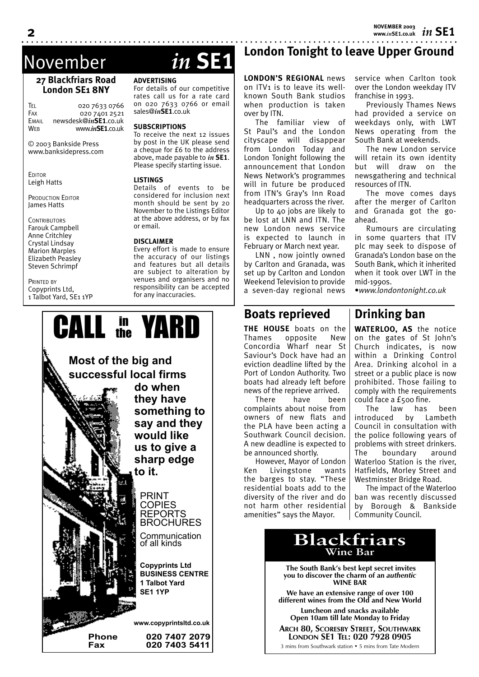*in* **SE1 NOVEMBER 2003 www.***in***SE1.co.uk**

service when Carlton took over the London weekday ITV

Previously Thames News had provided a service on weekdays only, with LWT News operating from the South Bank at weekends.

The new London service will retain its own identity but will draw on the newsgathering and technical

The move comes days after the merger of Carlton and Granada got the go-

Rumours are circulating in some quarters that ITV plc may seek to dispose of Granada's London base on the South Bank, which it inherited when it took over LWT in the

franchise in 1993.

resources of ITN.

ahead.

mid-1990s.

# November *in* **SE1**

#### **27 Blackfriars Road London SE1 8NY**

TEL 020 7633 0766<br>Fax 020 7401 2521 020 7401 2521 EMAIL newsdesk@*in***SE1**.co.uk WEB www.*in***SE1**.co.uk

© 2003 Bankside Press www.banksidepress.com

**EDITOR** Leigh Hatts

PRODUCTION EDITOR James Hatts

**CONTRIBUTORS** Farouk Campbell Anne Critchley Crystal Lindsay Marion Marples Elizabeth Peasley Steven Schrimpf

PRINTED BY Copyprints Ltd, 1 Talbot Yard, SE1 1YP

#### **ADVERTISING**

For details of our competitive rates call us for a rate card on 020 7633 0766 or email sales@*in***SE1**.co.uk

#### **SUBSCRIPTIONS**

To receive the next 12 issues by post in the UK please send a cheque for £6 to the address above, made payable to *in* **SE1**. Please specify starting issue.

#### **LISTINGS**

Details of events to be considered for inclusion next month should be sent by 20 November to the Listings Editor at the above address, or by fax or email.

#### **DISCLAIMER**

Every effort is made to ensure the accuracy of our listings and features but all details are subject to alteration by venues and organisers and no responsibility can be accepted for any inaccuracies.

# **London Tonight to leave Upper Ground**

**LONDON'S REGIONAL** news on ITV1 is to leave its wellknown South Bank studios when production is taken over by ITN.

The familiar view of St Paul's and the London cityscape will disappear from London Today and London Tonight following the announcement that London News Network's programmes will in future be produced from ITN's Gray's Inn Road headquarters across the river.

Up to 40 jobs are likely to be lost at LNN and ITN. The new London news service is expected to launch in February or March next year.

LNN , now jointly owned by Carlton and Granada, was set up by Carlton and London Weekend Television to provide a seven-day regional news

**THE HOUSE** boats on the Thames opposite New Concordia Wharf near St Saviour's Dock have had an eviction deadline lifted by the Port of London Authority. Two boats had already left before news of the reprieve arrived. There have been complaints about noise from owners of new flats and the PLA have been acting a Southwark Council decision. A new deadline is expected to

**Boats reprieved**

be announced shortly.

However, Mayor of London Ken Livingstone wants the barges to stay. "These residential boats add to the diversity of the river and do

**Drinking ban**

•*www.londontonight.co.uk*

**WATERLOO, AS** the notice on the gates of St John's Church indicates, is now within a Drinking Control Area. Drinking alcohol in a street or a public place is now prohibited. Those failing to comply with the requirements could face a £500 fine.

The law has been introduced by Lambeth Council in consultation with the police following years of problems with street drinkers. The boundary around Waterloo Station is the river, Hatfields, Morley Street and Westminster Bridge Road.

The impact of the Waterloo ban was recently discussed by Borough & Bankside Community Council.



**Blackfriars** not harm other residential amenities" says the Mayor.

> **The South Bank's best kept secret invites you to discover the charm of an** *authentic* **WINE BAR**

**Wine Bar**

**We have an extensive range of over 100 different wines from the Old and New World**

**Luncheon and snacks available Open 10am till late Monday to Friday**

**ARCH 80, SCORESBY STREET, SOUTHWARK LONDON SE1 TEL: 020 7928 0905**

3 mins from Southwark station • 5 mins from Tate Modern

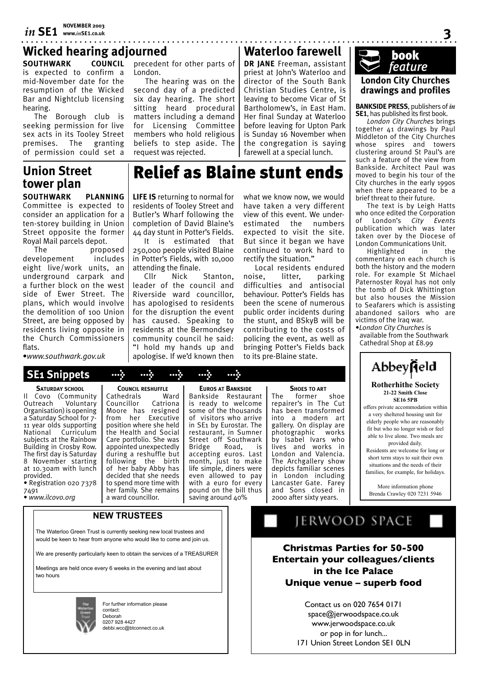# *in* **SE1 NOVEMBER 2003 www.***in***SE1.co.uk**

## . . . . . . . . . . . . . . . . . . . **Wicked hearing adjourned Waterloo farewell**

**SOUTHWARK COUNCIL** is expected to confirm a mid-November date for the resumption of the Wicked Bar and Nightclub licensing hearing.

The Borough club is seeking permission for live sex acts in its Tooley Street premises. The granting of permission could set a

# **Union Street tower plan**

**SOUTHWARK PLANNING**  Committee is expected to consider an application for a ten-storey building in Union Street opposite the former Royal Mail parcels depot.

The proposed developement includes eight live/work units, an underground carpark and a further block on the west side of Ewer Street. The plans, which would involve the demolition of 100 Union Street, are being opposed by residents living opposite in the Church Commissioners flats.

•*www.southwark.gov.uk*

**SATURDAY SCHOOL**

Organisation) is opening a Saturday School for 7- 11 year olds supporting National Curriculum subjects at the Rainbow Building in Crosby Row. The first day is Saturday 8 November starting at 10.30am with lunch

• Registration 020 7378

• *www.ilcovo.org*

provided.

7491

#### precedent for other parts of London.

The hearing was on the second day of a predicted six day hearing. The short sitting heard procedural matters including a demand for Licensing Committee members who hold religious beliefs to step aside. The request was rejected.

**DR JANE** Freeman, assistant priest at John's Waterloo and director of the South Bank Christian Studies Centre, is leaving to become Vicar of St Bartholomew's, in East Ham. Her final Sunday at Waterloo before leaving for Upton Park is Sunday 16 November when the congregation is saying farewell at a special lunch.

# Relief as Blaine stunt ends

**LIFE IS** returning to normal for residents of Tooley Street and Butler's Wharf following the completion of David Blaine's 44 day stunt in Potter's Fields.

It is estimated that 250,000 people visited Blaine in Potter's Fields, with 10,000 attending the finale.<br>Cllr Nick

Stanton. leader of the council and Riverside ward councillor, has apologised to residents for the disruption the event has caused. Speaking to residents at the Bermondsey community council he said: "I hold my hands up and apologise. If we'd known then

what we know now, we would have taken a very different view of this event. We underestimated the numbers expected to visit the site. But since it began we have continued to work hard to rectify the situation."

Local residents endured noise, litter, parking difficulties and antisocial behaviour. Potter's Fields has been the scene of numerous public order incidents during the stunt, and BSkyB will be contributing to the costs of policing the event, as well as bringing Potter's Fields back to its pre-Blaine state.

**SHOES TO ART**

2000 after sixty years.



**3**

**BANKSIDE PRESS**, publishers of *in*  **SE1**, has published its first book.

*London City Churches* brings together 41 drawings by Paul Middleton of the City Churches whose spires and towers clustering around St Paul's are such a feature of the view from Bankside. Architect Paul was moved to begin his tour of the City churches in the early 1990s when there appeared to be a brief threat to their future.

The text is by Leigh Hatts who once edited the Corporation of London's *City Events*  publication which was later taken over by the Diocese of London Communications Unit.

Highlighted in the commentary on each church is both the history and the modern role. For example St Michael Paternoster Royal has not only the tomb of Dick Whittington but also houses the Mission to Seafarers which is assisting abandoned sailors who are victims of the Iraq war.

•*London City Churches* is available from the Southwark Cathedral Shop at £8.99



#### **Rotherhithe Society 21-22 Smith Close SE16 5PB**

offers private accommodation within a very sheltered housing unit for elderly people who are reasonably fit but who no longer wish or feel able to live alone. Two meals are provided daily.

Residents are welcome for long or short term stays to suit their own situations and the needs of their families, for example, for holidays.

More information phone Brenda Crawley 020 7231 5946

Il Covo (Community<br>Outreach Voluntary Voluntary Cathedrals Ward<br>Councillor Catriona Councillor Moore has resigned from her Executive position where she held the Health and Social Care portfolio. She was appointed unexpectedly during a reshuffle but following the birth of her baby Abby has decided that she needs to spend more time with her family. She remains a ward councillor.

**COUNCIL RESHUFFLE**

 **SE1 Snippets > > > > >**

**NEW TRUSTEES**

The Waterloo Green Trust is currently seeking new local trustees and would be keen to hear from anyone who would like to come and join us.

We are presently particularly keen to obtain the services of a TREASURER

Meetings are held once every 6 weeks in the evening and last about two hours



For further information please contact: Deborah 0207 928 4427 debbi.wcc@btconnect.co.uk

JERWOOD SPACE

**Christmas Parties for 50-500 Entertain your colleagues/clients in the Ice Palace Unique venue – superb food**

> Contact us on 020 7654 0171 space@jerwoodspace.co.uk www.jerwoodspace.co.uk or pop in for lunch... 171 Union Street London SE1 0LN

#### some of the thousands of visitors who arrive in SE1 by Eurostar. The restaurant, in Sumner Street off Southwark<br>Bridge Road, is Road, accepting euros. Last month, just to make life simple, diners were even allowed to pay with a euro for every

**EUROS AT BANKSIDE**

pound on the bill thus The former shoe repairer's in The Cut has been transformed into a modern art gallery. On display are photographic works by Isabel Ivars who lives and works in London and Valencia. The Archgallery show depicts familiar scenes in London including Lancaster Gate. Farey and Sons closed in





saving around 40%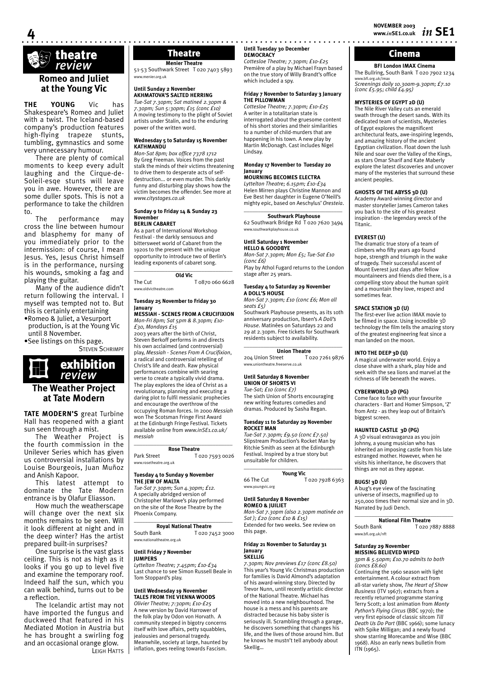# theatre ‡ *review*

**4**

#### **Romeo and Juliet at the Young Vic**

**THE YOUNG** Vic has Shakespeare's Romeo and Juliet with a twist. The Iceland-based company's production features high-flying trapeze stunts, tumbling, gymnastics and some very unnecessary humour.

There are plenty of comical moments to keep every adult laughing and the Cirque-de-Soleil-esqe stunts will leave you in awe. However, there are some duller spots. This is not a performance to take the children to.

performance may cross the line between humour and blasphemy for many of you immediately prior to the intermission: of course, I mean Jesus. Yes, Jesus Christ himself is in the performance, nursing his wounds, smoking a fag and playing the guitar.

Many of the audience didn't return following the interval. I myself was tempted not to. But this is certainly entertaining •Romeo & Juliet, a Vesurport

production, is at the Young Vic until 8 November.

•See listings on this page. **STEVEN SCHRIMPF** 



#### **The Weather Project at Tate Modern**

**TATE MODERN'S** great Turbine Hall has reopened with a giant sun seen through a mist.

The Weather Project is the fourth commission in the Unilever Series which has given us controversial installations by Louise Bourgeois, Juan Muñoz and Anish Kapoor.

This latest attempt to dominate the Tate Modern entrance is by Olafur Eliasson.

How much the weatherscape will change over the next six months remains to be seen. Will it look different at night and in the deep winter? Has the artist prepared built-in surprises?

One surprise is the vast glass ceiling. This is not as high as it looks if you go up to level five and examine the temporary roof. Indeed half the sun, which you can walk behind, turns out to be a reflection.

The Icelandic artist may not have imported the fungus and duckweed that featured in his Mediated Motion in Austria but he has brought a swirling fog and an occasional orange glow. LEIGH HATTS

# **Menier Theatre**

51-53 Southwark Street T 020 7403 5893 w.menier.org.uk

#### **Until Sunday 2 November AKHMATOVA'S SALTED HERRING** *Tue-Sat 7.30pm; Sat matineé 2.30pm &*

*7.30pm; Sun 5:30pm; £15 (conc £10)* A moving testimony to the plight of Soviet artists under Stalin, and to the enduring power of the written word.

#### **Wednesday 5 to Saturday 15 November KATHMANDU**

*Mon-Sat 8pm; box office 7378 1712* By Greg Freeman. Voices from the past stalk the minds of their victims threatening to drive them to desperate acts of selfdestruction... or even murder. This darkly funny and disturbing play shows how the victim becomes the offender. See more at *www.citystages.co.uk* 

#### **Sunday 9 to Friday 14 & Sunday 23 November BERLIN CABARET**

As a part of International Workshop Festival - the darkly sensuous and bittersweet world of Cabaret from the 1920s to the present with the unique opportunity to introduce two of Berlin's leading exponents of cabaret song. \_\_\_\_\_\_\_\_\_\_\_\_\_\_\_\_\_\_\_\_\_\_\_\_\_\_\_\_\_\_\_\_\_\_\_

**Old Vic**  The Cut T 0870 060 6628

www.oldvictheatre.com

#### **Tuesday 25 November to Friday 30 January**

#### **MESSIAH - SCENES FROM A CRUCIFIXION**  *Mon-Fri 8pm; Sat 5pm & 8.30pm; £10-*

*£30, Mondays £15*  2003 years after the birth of Christ, Steven Berkoff performs in and directs his own acclaimed (and controversial) play, *Messiah - Scenes From A Crucifixion*, a radical and controversial retelling of Christ's life and death. Raw physical performances combine with searing verse to create a typically vivid drama. The play explores the idea of Christ as a revolutionary, planning and executing a daring plot to fulfil messianic prophecies and encourage the overthrow of the occupying Roman forces. In 2000 *Messiah*  won The Scotsman Fringe First Award at the Edinburgh Fringe Festival. Tickets available online from *www.inSE1.co.uk/ messiah*

#### \_\_\_\_\_\_\_\_\_\_\_\_\_\_\_\_\_\_\_\_\_\_\_\_\_\_\_\_\_\_\_\_\_\_\_ **Rose Theatre**

Park Street T 020 7593 0026 ww.rosetheatre.org.uk

#### **Tuesday 4 to Sunday 9 November THE JEW OF MALTA**

*Tue-Sat 7.30pm; Sun 4.30pm; £12.* A specially abridged version of Christopher Marlowe's play performed on the site of the Rose Theatre by the Phoenix Company.

#### \_\_\_\_\_\_\_\_\_\_\_\_\_\_\_\_\_\_\_\_\_\_\_\_\_\_\_\_\_\_\_\_\_\_\_ **Royal National Theatre** South Bank T 020 7452 3000 www.nationaltheatre.org.uk

**Until Friday 7 November JUMPERS**

*Lyttelton Theatre; 7.45pm; £10-£34* Last chance to see Simon Russell Beale in Tom Stoppard's play.

#### **Until Wednesday 19 November**

**TALES FROM THE VIENNA WOODS** *Olivier Theatre; 7:30pm; £10-£25* A new version by David Harrower of the folk play by Odon von Horvath. A community steeped in bigotry concerns itself with love affairs, petty squabbles, jealousies and personal tragedy. Meanwhile, society at large, haunted by inflation, goes reeling towards Fascism.

#### **Until Tuesday 30 December DEMOCRACY** Theatre **DEMOCRACY** DECEMBENT **Cinema**

*Cottesloe Theatre; 7.30pm; £10-£25* Première of a play by Michael Frayn based on the true story of Willy Brandt's office which included a spy.

#### **Friday 7 November to Saturday 3 January THE PILLOWMAN**

*Cottesloe Theatre; 7.30pm; £10-£25* A writer in a totalitarian state is interrogated about the gruesome content of his short stories and their similarities to a number of child-murders that are happening in his town. A new play by Martin McDonagh. Cast includes Nigel Lindsay.

#### **Monday 17 November to Tuesday 20 January**

**MOURNING BECOMES ELECTRA** *Lyttelton Theatre; 6.15pm; £10-£34* Helen Mirren plays Christine Mannon and Eve Best her daughter in Eugene O'Neill's

mighty epic, based on Aeschylus' *Oresteia*.  $\_$ **Southwark Playhouse**

62 Southwark Bridge Rd T 020 7620 3494 www.southwarkplayhouse.co.uk

#### **Until Saturday 1 November**

**HELLO & GOODBYE** *Mon-Sat 7.30pm; Mon £5; Tue-Sat £10 (conc £6)*

Play by Athol Fugard returns to the London stage after 25 years.

#### **Tuesday 4 to Saturday 29 November A DOLL'S HOUSE**

*Mon-Sat 7.30pm; £10 (conc £6; Mon all seats £5)*

Southwark Playhouse presents, as its 10th anniversary production, Ibsen's *A Doll's House*. Matinées on Saturdays 22 and 29 at 2.30pm. Free tickets for Southwark residents subject to availability.

## $\overline{\phantom{a}}$  , and the set of the set of the set of the set of the set of the set of the set of the set of the set of the set of the set of the set of the set of the set of the set of the set of the set of the set of the s

**Union Theatre**<br>reet 1020.7261.9876 204 Union Street www.uniontheatre.freeserve.co.uk

#### **Until Saturday 8 November UNION OF SHORTS VI**

*Tue-Sat; £10 (conc £7)* The sixth Union of Shorts encouraging new writing features comedies and dramas. Produced by Sasha Regan.

#### **Tuesday 11 to Saturday 29 November ROCKET MAN**

*Tue-Sat 7.30pm; £9.50 (conc £7.50)* Slipstream Production's Rocket Man by Ritchie Smith as seen at the Edinburgh Festival. Inspired by a true story but unsuitable for children.

#### **Young Vic**

66 The Cut T 020 7928 6363 www.youngvic.org

 $\_$ 

#### **Until Saturday 8 November**

**ROMEO & JUILIET** *Mon-Sat 7.30pm (also 2.30pm matinée on Sat ); £20 (conc £10 & £15)* Extended for two weeks. See review on this page.

#### **Friday 21 November to Saturday 31 January SKELLIG**

*7.30pm; Nov previews £17 (conc £8.50)* This year's Young Vic Christmas production for families is David Almond's adaptation of his award-winning story. Directed by Trevor Nunn, until recently artistic director of the National Theatre. Michael has moved into a new neighbourhood. The house is a mess and his parents are distracted because his baby sister is distracted because ins baby sister is<br>seriously ill. Scrambling through a garage, he discovers something that changes his life, and the lives of those around him. But he knows he mustn't tell anybody about Skellig…

**BFI London IMAX Cinema** The Bullring, South Bank T 020 7902 1234 www.bfi.org.uk/imax *Screenings daily 10.30am-9.30pm; £7.10 (conc £5.95; child £4.95)*

#### **MYSTERIES OF EGYPT 2D (U)**

The Nile River Valley cuts an emerald swath through the desert sands. With its dedicated team of scientists, Mysteries of Egypt explores the magnificent architectural feats, awe-inspiring legends, and amazing history of the ancient Egyptian civilization. Float down the lush Nile and soar over the Valley of the Kings, as stars Omar Sharif and Kate Maberly explore the latest discoveries and uncover many of the mysteries that surround these ancient peoples.

#### **GHOSTS OF THE ABYSS 3D (U)**

Academy Award-winning director and master storyteller James Cameron takes you back to the site of his greatest inspiration - the legendary wreck of the Titanic.

#### **EVEREST (U)**

The dramatic true story of a team of climbers who fifty years ago found hope, strength and triumph in the wake of tragedy. Their successful ascent of Mount Everest just days after fellow mountaineers and friends died there, is a compelling story about the human spirit and a mountain they love, respect and sometimes fear.

#### **SPACE STATION 3D (U)**

The first-ever live action IMAX movie to be filmed in space. Using incredible 3D technology the film tells the amazing story of the greatest engineering feat since a man landed on the moon.

#### **INTO THE DEEP 3D (U)**

A magical underwater world. Enjoy a close shave with a shark, play hide and seek with the sea lions and marvel at the richness of life beneath the waves.

#### **CYBERWORLD 3D (PG)**

Come face to face with your favourite characters - Bart and Homer Simpson, 'Z' from Antz - as they leap out of Britain's biggest screen.

#### **HAUNTED CASTLE 3D (PG)**

A 3D visual extravaganza as you join Johnny, a young musician who has inherited an imposing castle from his late estranged mother. However, when he visits his inheritance, he discovers that things are not as they appear.

#### **BUGS! 3D (U)**

A bug's eye view of the fascinating universe of insects, magnified up to 250,000 times their normal size and in 3D. Narrated by Judi Dench.  $\_$ 

**National Film Theatre**<br>**F** Q20.5 T 020 7887 8888 www.bfi.org.uk/nft

#### **Saturday 29 November MISSING BELIEVED WIPED**

*3pm & 5.50pm; £10.70 admits to both (concs £8.60)*

Continuing the 1960 season with light entertainment. A colour extract from all-star variety show, *The Heart of Show Business* (ITV 1967); extracts from a recently returned programme starring Terry Scott; a lost animation from *Monty Python's Flying Circus* (BBC 1970); the very first episode of classic sitcom *Till Death Us Do Part* (BBC 1966); some lunacy with Spike Milligan; and a newly found show starring Morecambe and Wise (BBC 1968). Also an early news bulletin from ITN (1965).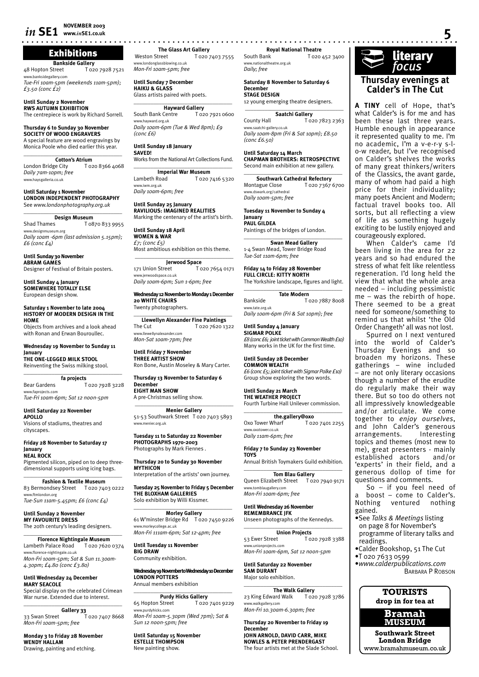# *in* **SE1 NOVEMBER 2003**

# Exhibitions

**Bankside Gallery**<br>20 I Gozdet Hopton Street T 020 7928 7521 sidegallery.cor *Tue-Fri 10am-5pm (weekends 11am-5pm);* 

*£3.50 (conc £2)* **Until Sunday 2 November**

**RWS AUTUMN EXHIBITION** The centrepiece is work by Richard Sorrell.

**Thursday 6 to Sunday 30 November SOCIETY OF WOOD ENGRAVERS** A special feature are wood engravings by Monica Poole who died earlier this year.  $\overline{\phantom{a}}$  , where  $\overline{\phantom{a}}$  , where  $\overline{\phantom{a}}$  , where  $\overline{\phantom{a}}$ 

**Cotton's Atrium**<br>ge City 1020 8366 4068 London Bridge City *Daily 7am-10pm; free*

**Until Saturday 1 November**

www.haysgalleria.co.uk

**LONDON INDEPENDENT PHOTOGRAPHY** See *www.londonphotography.org.uk*

 $\overline{\phantom{a}}$  , where  $\overline{\phantom{a}}$  , where  $\overline{\phantom{a}}$  , where  $\overline{\phantom{a}}$ **Design Museum**

Shad Thames T 0870 833 9955 www.designmuseum.org *Daily 10am -6pm (last admission 5.15pm); £6 (conc £4)*

**Until Sunday 30 November ABRAM GAMES** Designer of Festival of Britain posters.

**Until Sunday 4 January SOMEWHERE TOTALLY ELSE** European design show.

**Saturday 1 November to late 2004 HISTORY OF MODERN DESIGN IN THE HOME**

Objects from archives and a look ahead with Ronan and Erwan Bouroullec.

**Wednesday 19 November to Sunday 11 January**

**THE ONE-LEGGED MILK STOOL** Reinventing the Swiss milking stool. \_\_\_\_\_\_\_\_\_\_\_\_\_\_\_\_\_\_\_\_\_\_\_\_\_\_\_\_\_\_\_\_\_\_\_

**fa projects** Bear Gardens T 020 7928 3228 www.faprojects.com *Tue-Fri 10am-6pm; Sat 12 noon-5pm*

**Until Saturday 22 November APOLLO** Visions of stadiums, theatres and cityscapes.

**Friday 28 November to Saturday 17 January NEAL ROCK** 

Pigmented silicon, piped on to deep threedimensional supports using icing bags.  $\overline{\phantom{a}}$  , and the set of the set of the set of the set of the set of the set of the set of the set of the set of the set of the set of the set of the set of the set of the set of the set of the set of the set of the s

**Fashion & Textile Museum** 83 Bermondsey Street T 020 7403 0222 www.ftmlondon.org *Tue-Sun 11am-5.45pm; £6 (conc £4)*

**Until Sunday 2 November MY FAVOURITE DRESS** The 20th century's leading designers.

**Florence Nightingale Museum**<br>eth Palace Road T 020 7620 0374 Lambeth Palace Road www.florence-nightingale.co.uk *Mon-Fri 10am-5pm; Sat & Sun 11.30am-4.30pm; £4.80 (conc £3.80)*

 $\overline{\phantom{a}}$  , and the set of the set of the set of the set of the set of the set of the set of the set of the set of the set of the set of the set of the set of the set of the set of the set of the set of the set of the s

**Until Wednesday 24 December MARY SEACOLE** Special display on the celebrated Crimean War nurse. Extended due to interest.

 $\overline{\phantom{a}}$  , and the set of the set of the set of the set of the set of the set of the set of the set of the set of the set of the set of the set of the set of the set of the set of the set of the set of the set of the s **Gallery 33** 33 Swan Street *Mon-Fri 10am-5pm; free*

**Monday 3 to Friday 28 November WENDY HALLAM** Drawing, painting and etching.

**The Glass Art Gallery**<br>7 020 T T 020 7403 7555 www.londonglassblowing.co.uk *Mon-Fri 10am-5pm; free*

**Until Sunday 7 December HAIKU & GLASS** Glass artists paired with poets.

\_\_\_\_\_\_\_\_\_\_\_\_\_\_\_\_\_\_\_\_\_\_\_\_\_\_\_\_\_\_\_\_\_\_\_ **Hayward Gallery** South Bank Centre www.hayward.org.uk *Daily 10am-6pm (Tue & Wed 8pm); £9 (conc £6)* 

**Until Sunday 18 January SAVED!**

Works from the National Art Collections Fund.  $\overline{\phantom{a}}$  , and the set of the set of the set of the set of the set of the set of the set of the set of the set of the set of the set of the set of the set of the set of the set of the set of the set of the set of the s

**Imperial War Museum** Lambeth Road T 020 7416 5320 www.iwm.org.uk *Daily 10am-6pm; free* 

**Until Sunday 25 January RAVILIOUS: IMAGINED REALITIES** Marking the centenary of the artist's birth.

**Until Sunday 18 April WOMEN & WAR** *£7; (conc £5)* Most ambitious exhibition on this theme.

 $\overline{\phantom{a}}$  , and the set of the set of the set of the set of the set of the set of the set of the set of the set of the set of the set of the set of the set of the set of the set of the set of the set of the set of the s **Jerwood Space**<br> **T** 020 7654 0171 171 Union Street .<br>ww.jerwoodspace.co.uk *Daily 10am-6pm; Sun 1-6pm; free*

**Wednesday 12 November to Monday 1 December 20 WHITE CHAIRS** Twenty photographers.  $\overline{\phantom{a}}$  , and the set of the set of the set of the set of the set of the set of the set of the set of the set of the set of the set of the set of the set of the set of the set of the set of the set of the set of the s

**Llewellyn Alexander Fine Paintings** The Cut T 020 7620 1322 www.llewellynalexander.com *Mon-Sat 10am-7pm; free*

**Until Friday 7 November THREE ARTIST SHOW** Ron Bone, Austin Moseley & Mary Carter.

**Thursday 13 November to Saturday 6 December EIGHT MAN SHOW** A pre-Christmas selling show.

 $\overline{\phantom{a}}$  , and the set of the set of the set of the set of the set of the set of the set of the set of the set of the set of the set of the set of the set of the set of the set of the set of the set of the set of the s **Menier Gallery** 51-53 Southwark Street T 020 7403 5893 www.menier.org.uk

**Tuesday 11 to Saturday 22 November PHOTOGRAPHS 1970-2003** Photographs by Mark Fiennes .

**Thursday 20 to Sunday 30 November MYTHICON**

Interpretation of the artists' own journey.

**Tuesday 25 November to Friday 5 December THE BLOXHAM GALLERIES** Solo exhibition by Willi Kissmer.

 $\overline{\phantom{a}}$  , and the set of the set of the set of the set of the set of the set of the set of the set of the set of the set of the set of the set of the set of the set of the set of the set of the set of the set of the s **Morley Gallery** 61 W'minster Bridge Rd T 020 7450 9226 www.morleycollege.ac.uk *Mon-Fri 111am-6pm; Sat 12-4pm; free*

**Until Tuesday 11 November BIG DRAW**

Community exhibition.

**Wednesday 19 November to Wednesday 10 December LONDON POTTERS**

Annual members exhibition \_\_\_\_\_\_\_\_\_\_\_\_\_\_\_\_\_\_\_\_\_\_\_\_\_\_\_\_\_\_\_\_\_\_\_

**Purdy Hicks Gallery** 65 Hopton Street T 020 7401 9229 www.purdyhicks.com *Mon-Fri 10am-5.30pm (Wed 7pm); Sat & Sun 12 noon-5pm; free*

**Until Saturday 15 November ESTELLE THOMPSON** New painting show.

**www.***in***SE1.co.uk 5 Royal National Theatre**<br>**Royal National Tozo** T 020 452 3400 www.nationaltheatre.org.uk

> **Saturday 8 November to Saturday 6 December STAGE DESIGN** 12 young emerging theatre designers.

*Daily; free*

 $\overline{\phantom{a}}$  , and the set of the set of the set of the set of the set of the set of the set of the set of the set of the set of the set of the set of the set of the set of the set of the set of the set of the set of the s **Saatchi Gallery** County Hall T 020 7823 2363 www.saatchi-gallery.co.uk *Daily 10am-8pm (Fri & Sat 10pm); £8.50 (conc £6.50)*

**Until Saturday 14 March CHAPMAN BROTHERS: RETROSPECTIVE** Second main exhibition at new gallery.

\_\_\_\_\_\_\_\_\_\_\_\_\_\_\_\_\_\_\_\_\_\_\_\_\_\_\_\_\_\_\_\_\_\_\_ **Southwark Cathedral Refectory**<br>Montague Close T 020 7367 T 020 7367 6700 www.dswark.org/cathedral *Daily 10am-5pm; free*

**Tuesday 11 November to Sunday 4 January PAUL GILDEA** Paintings of the bridges of London.

 $\overline{\phantom{a}}$  , and the set of the set of the set of the set of the set of the set of the set of the set of the set of the set of the set of the set of the set of the set of the set of the set of the set of the set of the s **Swan Mead Gallery** 1-4 Swan Mead, Tower Bridge Road *Tue-Sat 11am-6pm; free*

**Friday 14 to Friday 28 November FULL CIRCLE: KITTY NORTH** The Yorkshire landscape, figures and light.

\_\_\_\_\_\_\_\_\_\_\_\_\_\_\_\_\_\_\_\_\_\_\_\_\_\_\_\_\_\_\_\_\_\_\_ **Tate Modern** Bankside T 020 7887 8008 www.tate.org.uk *Daily 10am-6pm (Fri & Sat 10pm); free*

**Until Sunday 4 January SIGMAR POLKE** *£8 (conc £6; joint ticket with Common Wealth £10)* Many works in the UK for the first time.

**Until Sunday 28 December COMMON WEALTH**

*£6 (conc £5; joint ticket with Sigmar Polke £10)* Group show exploring the two words.

**Until Sunday 21 March THE WEATHER PROJECT** Fourth Turbine Hall Unilever commission.

 $\overline{\phantom{a}}$  , and the set of the set of the set of the set of the set of the set of the set of the set of the set of the set of the set of the set of the set of the set of the set of the set of the set of the set of the s **the.gallery@oxo** Oxo Tower Wharf T 020 7401 2255 w oxotower.co.uk *Daily 11am-6pm; free*

**Friday 7 to Sunday 23 November TOYS** Annual British Toymakers Guild exhibition*.*  $\overline{\phantom{a}}$  , and the set of the set of the set of the set of the set of the set of the set of the set of the set of the set of the set of the set of the set of the set of the set of the set of the set of the set of the s

**Tom Blau Gallery** Queen Elizabeth Street T 020 7940 9171 www.tomblaugallery.com *Mon-Fri 10am-6pm; free*

**Until Wednesday 26 November REMEMBRANCE JFK** Unseen photographs of the Kennedys.

\_\_\_\_\_\_\_\_\_\_\_\_\_\_\_\_\_\_\_\_\_\_\_\_\_\_\_\_\_\_\_\_\_\_\_ **Union Projects**<br>53 Ewer Street To 53 Ewer Street T 020 7928 3388 www.unionprojects.com *Mon-Fri 10am-6pm, Sat 12 noon-5pm*

**Until Saturday 22 November SAM DURANT** Major solo exhibition.

**The Walk Gallery**<br>To 20 7928 3786 23 King Edward Walk www.walkgallery.com *Mon-Fri 10.30am-6.30pm; free*

\_\_\_\_\_\_\_\_\_\_\_\_\_\_\_\_\_\_\_\_\_\_\_\_\_\_\_\_\_\_\_\_\_\_\_

**Thursday 20 November to Friday 19 December JOHN ARNOLD, DAVID CARR, MIKE NOWLES & PETER PRENDERGAST** The four artists met at the Slade School. literary ¨ *focus*

#### **Thursday evenings at Calder's in The Cut**

**A TINY** cell of Hope, that's what Calder's is for me and has been these last three years. Humble enough in appearance it represented quality to me. I'm no academic, I'm a v-e-r-y s-lo-w reader, but I've recognised on Calder's shelves the works of many great thinkers/writers of the Classics, the avant garde, many of whom had paid a high price for their individuality; many poets Ancient and Modern; factual travel books too. All sorts, but all reflecting a view of life as something hugely exciting to be lustily enjoyed and courageously explored.

When Calder's came I'd been living in the area for 22 years and so had endured the stress of what felt like relentless regeneration. I'd long held the view that what the whole area needed – including pessimistic me – was the rebirth of hope. There seemed to be a great need for someone/something to remind us that whilst 'the Old Order Changeth' all was not lost.

Spurred on I next ventured into the world of Calder's Thursday Evenings and so broaden my horizons. These gatherings – wine included – are not only literary occasions though a number of the erudite do regularly make their way there. But so too do others not all impressively knowledgeable and/or articulate. We come together to *enjoy ourselves*, and John Calder's generous<br>arrangements. Interesting arrangements. topics and themes (most new to me), great presenters - mainly established actors and/or 'experts' in their field, and a generous dollop of time for questions and comments.

So – if you feel need of boost – come to Calder's. Nothing ventured nothing gained.

- •See *Talks & Meetings* listing on page 8 for November's programme of literary talks and readings.
- •Calder Bookshop, 51 The Cut
- •T 020 7633 0599
- •*www.calderpublications.com* BARBARA P ROBSON



**Southwark Street London Bridge** www.bramahmuseum.co.uk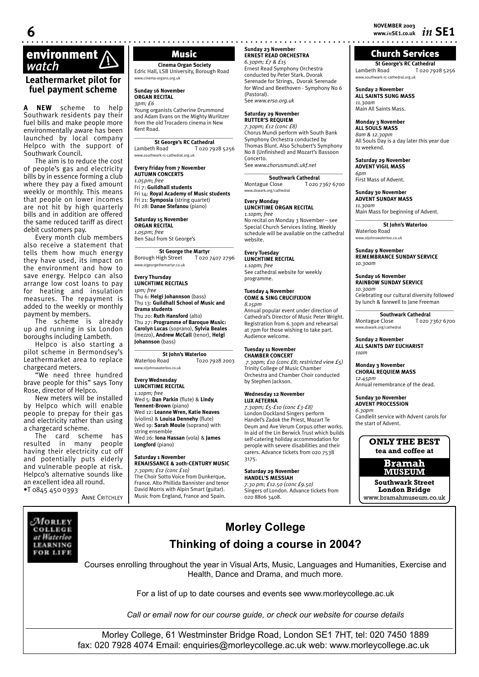**NOVEMBER 2003 6 www.***in***SE1.co.uk** *in* **SE1**

# **environment**<br> *Watch* **Music** *Watch* **(***Cinema Organ S* **Cinema Organ S** Edric Hall, LSB University, I

#### **Leathermarket pilot for fuel payment scheme**

**A NEW** scheme to help Southwark residents pay their fuel bills and make people more environmentally aware has been launched by local company Helpco with the support of Southwark Council.

The aim is to reduce the cost of people's gas and electricity bills by in essence forming a club where they pay a fixed amount weekly or monthly. This means that people on lower incomes are not hit by high quarterly bills and in addition are offered the same reduced tariff as direct debit customers pay.

Every month club members also receive a statement that tells them how much energy they have used, its impact on the environment and how to save energy. Helpco can also arrange low cost loans to pay for heating and insulation measures. The repayment is added to the weekly or monthly payment by members.

The scheme is already up and running in six London boroughs including Lambeth.

Helpco is also starting a pilot scheme in Bermondsey's Leathermarket area to replace chargecard meters.

"We need three hundred brave people for this" says Tony Rose, director of Helpco.

New meters will be installed by Helpco which will enable people to prepay for their gas and electricity rather than using a chargecard scheme.

The card scheme has resulted in many people having their electricity cut off and potentially puts elderly and vulnerable people at risk. Helpco's alternative sounds like an excellent idea all round. •T 0845 450 0393

**ANNE CRITCHLEY** 

**Cinema Organ Society** Edric Hall, LSB University, Borough Road www.cinema-organs.org.uk

**Sunday 16 November ORGAN RECITAL** *3pm; £6*

Young organists Catherine Drummond and Adam Evans on the Mighty Wurlitzer from the old Trocadero cinema in New Kent Road.  $\_$ 

# **St George's RC Cathedral**<br>Lambeth Road T 020 79

T 020 7928 5256 www.southwark-rc-cathedral.org.uk

**Every Friday from 7 November AUTUMN CONCERTS** *1.05pm; free* Fri 7: **Guildhall students** Fri 14: **Royal Academy of Music students** Fri 21: **Symposia** (string quartet)

Fri 28: **Danae Stefanou** (piano) **Saturday 15 November**

**ORGAN RECITAL** *1.05pm; free* Ben Saul from St George's

**\_\_\_\_\_\_\_\_\_\_\_\_\_\_\_\_\_\_\_\_\_\_\_\_\_\_\_\_\_\_\_\_\_\_\_ St George the Martyr** Borough High Street T 020 7407 2796 www.stgeorgethemartyr.co.uk

#### **Every Thursday LUNCHTIME RECITALS** *1pm; free*

Thu 6: **Helgi Johannson** (bass) Thu 13: **Guildhall School of Music and Drama students** Thu 20: **Ruth Hansford** (alto) Thu 27: **Programme of Baroque Music: Carolyn Lucas** (soprano), **Sylvia Beales**  (mezzo), **Andrew McCall** (tenor), **Helgi Johannson** (bass)

# $\_$

**St John's Waterloo**<br>To2c Waterloo Road T020 7928 2003 ww.stiohnswaterloo.co.uk

#### **Every Wednesday LUNCHTIME RECITAL** *1.10pm; free*

Wed 5: **Dan Parkin** (flute) & **Lindy Tennent-Brown** (piano) Wed 12: **Leanne Wren, Katie Neaves**  (violins) & **Louisa Dennehy** (flute) Wed 19: **Sarah Moule** (soprano) with string ensemble Wed 26: **Iona Hassan** (vola) & **James Longford** (piano)

# **Saturday 1 November**

**RENAISSANCE & 20th-CENTURY MUSIC** *7.30pm; £12 (conc £10)* The Choir Sotto Voice from Dunkerque, France. Alto Phillida Bannister and tenor David Morris with Alpin Smart (guitar). Music from England, France and Spain.

#### **Sunday 23 November ERNEST READ ORCHESTRA** *6.30pm; £7 & £15*

Ernest Read Symphony Orchestra conducted by Peter Stark. Dvorak Serenade for Strings, Dvorak Serenade for Wind and Beethoven - Symphony No 6 (Pastoral). See *www.erso.org.uk* 

#### **Saturday 29 November**

**RUTTER'S REQUIEM** *7.30pm; £12 (conc £8)* Chorus Mundi perform with South Bank Symphony Orchestra conducted by Thomas Blunt. Also Schubert's Symphony No 8 (Unfinished) and Mozart's Bassoon Concerto. See *www.chorusmundi.ukf.net*

\_\_\_\_\_\_\_\_\_\_\_\_\_\_\_\_\_\_\_\_\_\_\_\_\_\_\_\_\_\_\_\_\_\_\_

**Southwark Cathedral**<br>7 020 T T 020 7367 6700 ark.org/cathedral

#### **Every Monday LUNCHTIME ORGAN RECITAL**

*1.10pm; free* No recital on Monday 3 November – see Special Church Services listing. Weekly schedule will be available on the cathedral website.

#### **Every Tuesday LUNCHTIME RECITAL** *1.10pm; free*

See cathedral website for weekly programme.

#### **Tuesday 4 November COME & SING CRUCIFIXION**

*8.15pm* Annual popular event under direction of Cathedral's Director of Music Peter Wright. Registration from 6.30pm and rehearsal at 7pm for those wishing to take part. Audience welcome.

#### **Tuesday 11 November CHAMBER CONCERT**

*7.30pm; £10 (conc £8; restricted view £5)* Trinity College of Music Chamber Orchestra and Chamber Choir conducted by Stephen Jackson.

#### **Wednesday 12 November LUX AETERNA**

*7.30pm; £5-£10 (conc £3-£8)* London Dockland Singers perform Handel's Zadok the Priest, Mozart Te Deum and Ave Verum Corpus other works. In aid of the Lin Berwick Trust which builds self-catering holiday accommodation for perople with severe disabilities and their carers. Advance tickets from 020 7538 3175.

#### **Saturday 29 November**

**HANDEL'S MESSIAH** *7.30 pm; £12.50 (conc £9.50)* Singers of London. Advance tickets from 020 8806 3408.

#### Church Services

**St George's RC Cathedral**<br>Lambeth Road<br>T 020 79 Lambeth Road T 020 7928 5256 www.southwark-rc-cathedral.org.uk

#### **Sunday 2 November ALL SAINTS SUNG MASS** *11.30am* Main All Saints Mass.

**Monday 3 November ALL SOULS MASS** *8am & 12.30pm* All Souls Day is a day later this year due to weekend.

#### **Saturday 29 November ADVENT VIGIL MASS**

*6pm* First Mass of Advent.

**Sunday 30 November ADVENT SUNDAY MASS** *11.30am*

Main Mass for beginning of Advent. \_\_\_\_\_*\_\_\_\_\_\_\_\_\_\_\_\_\_\_\_\_\_\_\_\_\_\_\_\_\_\_\_\_\_\_*

**St John's Waterloo** Waterloo Road www.stjohnswaterloo.co.uk

#### **Sunday 9 November REMEMBRANCE SUNDAY SERVICE**  *10.30am*

**Sunday 16 November RAINBOW SUNDAY SERVICE**  *10.30am* Celebrating our cultural diversity followed by lunch & farewell to Jane Freeman

 $\overline{\phantom{a}}$  , and the set of the set of the set of the set of the set of the set of the set of the set of the set of the set of the set of the set of the set of the set of the set of the set of the set of the set of the s **Southwark Cathedral**<br>Montague Close **T** 020 T 020 7367 6700 www.dswark.org/cathedral

#### **Sunday 2 November ALL SAINTS DAY EUCHARIST** *11am*

**Monday 3 November CHORAL REQUIEM MASS** *12.45pm*

Annual remembrance of the dead.

**Sunday 30 November ADVENT PROCESSION** *6.30pm*  Candlelit service with Advent carols for the start of Advent.

#### **ONLY THE BEST tea and coffee at**

#### **Bramah MUSEUM**

**Southwark Street London Bridge** www.bramahmuseum.co.uk



# **Morley College Thinking of doing a course in 2004?**

Courses enrolling throughout the year in Visual Arts, Music, Languages and Humanities, Exercise and Health, Dance and Drama, and much more.

For a list of up to date courses and events see www.morleycollege.ac.uk

*Call or email now for our course guide, or check our website for course details*

Morley College, 61 Westminster Bridge Road, London SE1 7HT, tel: 020 7450 1889 fax: 020 7928 4074 Email: enquiries@morleycollege.ac.uk web: www.morleycollege.ac.uk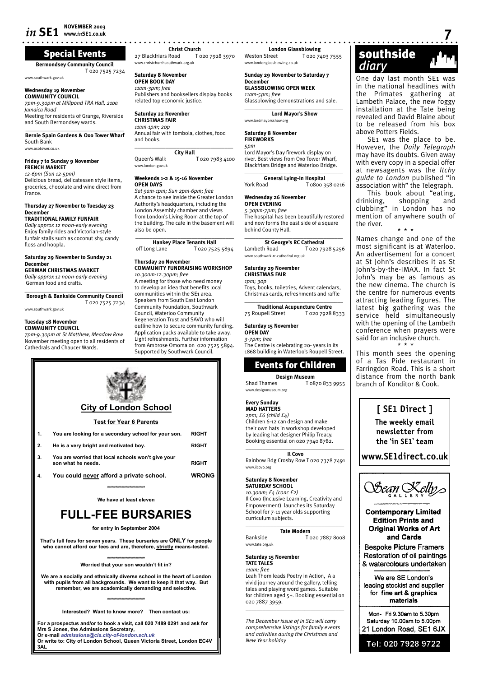### Special Events

**Bermondsey Community Council**

www.southwark.gov.uk

**Wednesday 19 November COMMUNITY COUNCIL**

*7pm-9.30pm at Millpond TRA Hall, 210a Jamaica Road* Meeting for residents of Grange, Riverside and South Bermondsey wards.

**\_\_\_\_\_\_\_\_\_\_\_\_\_\_\_\_\_\_\_\_\_\_\_\_\_\_\_\_\_\_\_\_\_\_\_ Bernie Spain Gardens & Oxo Tower Wharf** South Bank

www.oxotower.co.uk

**Friday 7 to Sunday 9 November FRENCH MARKET**

*12-6pm (Sun 12-5pm)* Delicious bread, delicatessen style items, groceries, chocolate and wine direct from France.

#### **Thursday 27 November to Tuesday 23 December**

**TRADITIONAL FAMILY FUNFAIR** *Daily approx 12 noon-early evening* Enjoy family rides and Victorian-style funfair stalls such as coconut shy, candy floss and hoopla.

#### **Saturday 29 November to Sunday 21 December**

**GERMAN CHRISTMAS MARKET** *Daily approx 12 noon-early evening* German food and crafts.

 $\_$ **Borough & Bankside Community Council** T 020 7525 7234

www.southwark.gov.uk

#### **Tuesday 18 November COMMUNITY COUNCIL**

*7pm-9.30pm at St Matthew, Meadow Row*  November meeting open to all residents of Cathedrals and Chaucer Wards.



www.christchurchsouthwark.org.uk

**Saturday 8 November OPEN BOOK DAY** *11am-3pm; free* Publishers and booksellers display books related top economic justice.

**Saturday 22 November CHRISTMAS FAIR** *11am-1pm; 20p* Annual fair with tombola, clothes, food and books.  $\overline{\phantom{a}}$  , and the set of the set of the set of the set of the set of the set of the set of the set of the set of the set of the set of the set of the set of the set of the set of the set of the set of the set of the s

**City Hall** Queen's Walk T 020 7983 4100 www.london.gov.uk

#### **Weekends 1-2 & 15-16 November OPEN DAYS**

*Sat 9am-1pm; Sun 2pm-6pm; free* A chance to see inside the Greater London Authority's headquarters, including the London Assembly chamber and views from London's Living Room at the top of the building. The cafe in the basement will also be open. **\_\_\_\_\_\_\_\_\_\_\_\_\_\_\_\_\_\_\_\_\_\_\_\_\_\_\_\_\_\_\_\_\_\_\_**

**Hankey Place Tenants Hall** off Long Lane T 020 7525 5894

#### **Thursday 20 November COMMUNITY FUNDRAISING WORKSHOP**

*10.30am-12.30pm; free* A meeting for those who need money to develop an idea that benefits local communities within the SE1 area. Speakers from South East London Community Foundation, Southwark Council, Waterloo Community Regeneration Trust and SAVO who will outline how to secure community funding. Annlication packs available to take away. Light refreshments. Further information from Ambrose Omoma on 020 7525 5894. Supported by Southwark Council.

**London Glassblowing**<br>*V*eston Street To20.74 T 020 7403 7555 www.londonglassblowing.co.ul

**Sunday 29 November to Saturday 7 December GLASSBLOWING OPEN WEEK** *11am-5pm; free*

Glassblowing demonstrations and sale. **\_\_\_\_\_\_\_\_\_\_\_\_\_\_\_\_\_\_\_\_\_\_\_\_\_\_\_\_\_\_\_\_\_\_\_**

**Lord Mayor's Show** www.lordmayorsshow.org

#### **Saturday 8 November**

**FIREWORKS**

*5pm* Lord Mayor's Day firework display on river. Best views from Oxo Tower Wharf, Blackfriars Bridge and Waterloo Bridge.

 $\overline{\phantom{a}}$  , and the set of the set of the set of the set of the set of the set of the set of the set of the set of the set of the set of the set of the set of the set of the set of the set of the set of the set of the s **General Lying-In Hospital**<br>Pork Road **T** 0800.3 T 0800 358 0216

#### **Wednesday 26 November OPEN EVENING**

*5.30pm-7pm; free* The hospital has been beautifully restored and now forms the east side of a square behind County Hall.

 $\_$ **St George's RC Cathedral** Lambeth Road T 020 7928 5256 www.southwark-rc-cathedral.org.uk

#### **Saturday 29 November CHRISTMAS FAIR**

*1pm; 30p* Toys, books, toiletries, Advent calendars, Christmas cards, refreshments and raffle

\_\_\_\_\_\_\_\_\_\_\_\_\_\_\_\_\_\_\_\_\_\_\_\_\_\_\_\_\_\_\_\_\_\_\_ **Traditional Acupuncture Centre** 75 Roupell Street T 020 7928 8333

#### **Saturday 15 November**

**OPEN DAY** *3-7pm; free* The Centre is celebrating 20- years in its 1868 building in Waterloo's Roupell Street.

# Events for Children

**Design Museum**<br>To8 T T 0870 833 9955 www.designmuseum.org

**Every Sunday MAD HATTERS** *2pm; £6 (child £4)* Children 6-12 can design and make their own hats in workshop developed by leading hat designer Philip Treacy. Booking essential on 020 7940 8782.

 $\overline{\phantom{a}}$  , and the set of the set of the set of the set of the set of the set of the set of the set of the set of the set of the set of the set of the set of the set of the set of the set of the set of the set of the s **Il Covo** Rainbow Bdg Crosby Row T 020 7378 7491 www.ilcovo.org

#### **Saturday 8 November**

**SATURDAY SCHOOL** *10.30am; £4 (conc £2)* Il Covo (Inclusive Learning, Creativity and Empowerment) launches its Saturday School for 7-11 year olds supporting curriculum subjects.

 $\overline{\phantom{a}}$  , and the set of the set of the set of the set of the set of the set of the set of the set of the set of the set of the set of the set of the set of the set of the set of the set of the set of the set of the s

**Tate Modern**

Bankside T 020 7887 8008 www.tate.org.uk

**Saturday 15 November** 

**TATE TALES** *11am; free* 

Leah Thorn leads Poetry in Action, A a vivid journey around the gallery, telling tales and playing word games. Suitable for children aged 5+. Booking essential on 020 7887 3959.  $\overline{\phantom{a}}$  , and the set of the set of the set of the set of the set of the set of the set of the set of the set of the set of the set of the set of the set of the set of the set of the set of the set of the set of the s

*The December issue of in SE1 will carry comprehensive listings for family events and activities during the Christmas and New Year holiday*



One day last month SE1 was in the national headlines with the Primates gathering at Lambeth Palace, the new foggy installation at the Tate being revealed and David Blaine about to be released from his box above Potters Fields.

SE1 was the place to be. However, the *Daily Telegraph*  may have its doubts. Given away with every copy in a special offer at newsagents was the *Itchy guide to London* published "in association with" the Telegraph.

This book about "eating, drinking, shopping and clubbing" in London has no mention of anywhere south of the river. \* \* \*

Names change and one of the most significant is at Waterloo. An advertisement for a concert at St John's describes it as St John's-by-the-IMAX. In fact St John's may be as famous as the new cinema. The church is the centre for numerous events attracting leading figures. The latest big gathering was the service held simultaneously with the opening of the Lambeth conference when prayers were said for an inclusive church. \* \* \*

This month sees the opening of a Tas Pide restaurant in Farringdon Road. This is a short distance from the north bank branch of Konditor & Cook.

# **[ SE1 Direct ]**

**The weekly email newsletter from the 'in SE1' team** 

**www.SE1direct.co.uk**



**Contemporary Limited Edition Prints and Original Works of Art** and Cards

**Bespoke Picture Framers** Restoration of oil paintings & watercolours undertaken

We are SE London's leading stockist and supplier for fine art & graphics materials

Mon- Fri 9.30am to 5.30pm Saturday 10.00am to 5.00pm 21 London Road, SE1 6JX

Tel: 020 7928 9722

**City of London School Test for Year 6 Parents 1. You are looking for a secondary school for your son. RIGHT 2. He is a very bright and motivated boy. RIGHT 3. You are worried that local schools won't give your son what he needs. RIGHT 4. You could never afford a private school. WRONG \*\*\*\*\*\*\*\*\*\*\*\*\*\*\*\*\*\*\***

**We have at least eleven**

# **FULL-FEE BURSARIES**

**for entry in September 2004**

**That's full fees for seven years. These bursaries are ONLY for people who cannot afford our fees and are, therefore, strictly means-tested.**

**\*\*\*\*\*\*\*\*\*\*\*\*\*\*\*\*\*\*\***

**Worried that your son wouldn't fit in?**

**We are a socially and ethnically diverse school in the heart of London with pupils from all backgrounds. We want to keep it that way. But remember, we are academically demanding and selective.**

**\*\*\*\*\*\*\*\*\*\*\*\*\*\*\*\*\*\*\***

**Interested? Want to know more? Then contact us:**

**For a prospectus and/or to book a visit, call 020 7489 0291 and ask for Mrs S Jones, the Admissions Secretary,**

**Or e-mail** *admissions@cls.city-of-london.sch.uk* **Or write to: City of London School, Queen Victoria Street, London EC4V 3AL**